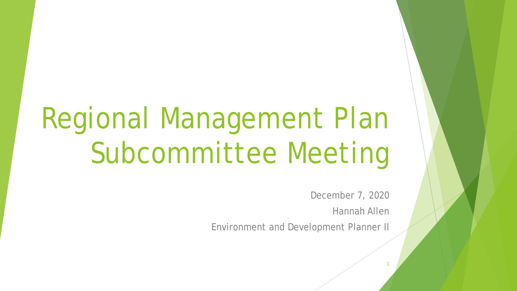# Regional Management Plan Subcommittee Meeting

December 7, 2020

Hannah Allen

1

Environment and Development Planner II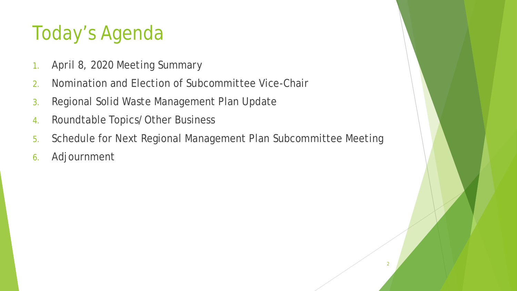# Today's Agenda

- 1. April 8, 2020 Meeting Summary
- 2. Nomination and Election of Subcommittee Vice-Chair
- 3. Regional Solid Waste Management Plan Update
- 4. Roundtable Topics/Other Business
- 5. Schedule for Next Regional Management Plan Subcommittee Meeting
- 6. Adjournment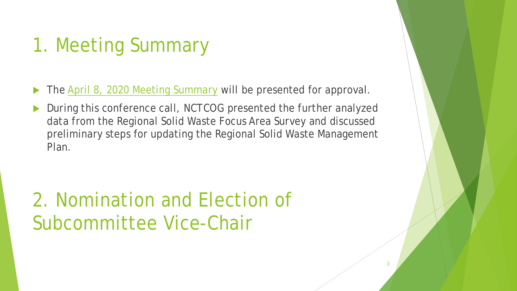## 1. Meeting Summary

The [April 8, 2020 Meeting Summary](https://nctcog.org/nctcg/media/Environment-and-Development/Committee%20Documents/RCC-Regional%20Management%20Plan%20Sub/FY2020/2020-04-08-RMPS-Summary.pdf?ext=.pdf) will be presented for approval.

 During this conference call, NCTCOG presented the further analyzed data from the Regional Solid Waste Focus Area Survey and discussed preliminary steps for updating the Regional Solid Waste Management Plan.

## 2. Nomination and Election of Subcommittee Vice-Chair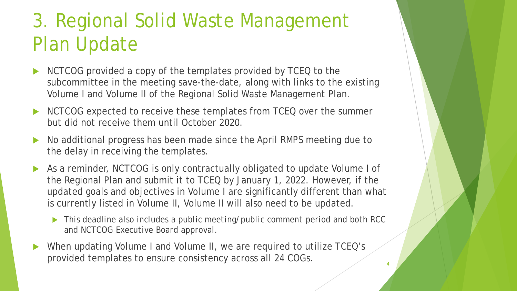# 3. Regional Solid Waste Management Plan Update

- NCTCOG provided a copy of the templates provided by TCEQ to the subcommittee in the meeting save-the-date, along with links to the existing Volume I and Volume II of the Regional Solid Waste Management Plan.
- NCTCOG expected to receive these templates from TCEQ over the summer but did not receive them until October 2020.
- No additional progress has been made since the April RMPS meeting due to the delay in receiving the templates.
- As a reminder, NCTCOG is only contractually obligated to update Volume I of the Regional Plan and submit it to TCEQ by January 1, 2022. However, if the updated goals and objectives in Volume I are significantly different than what is currently listed in Volume II, Volume II will also need to be updated.
	- *This deadline also includes a public meeting/public comment period and both RCC and NCTCOG Executive Board approval.*
- When updating Volume I and Volume II, we are required to utilize TCEQ's provided templates to ensure consistency across all 24 COGs. 4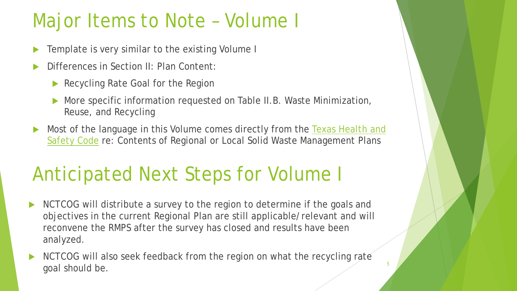### Major Items to Note – Volume I

- Template is very similar to the existing Volume I
- Differences in Section II: Plan Content:
	- Recycling Rate Goal for the Region
	- More specific information requested on Table II.B. Waste Minimization, Reuse, and Recycling
- Most of the language in this Volume comes directly from the Texas Health and Safety Code re: Contents of Regional or Local Solid Waste Management Plans

## Anticipated Next Steps for Volume I

- NCTCOG will distribute a survey to the region to determine if the goals and objectives in the current Regional Plan are still applicable/relevant and will reconvene the RMPS after the survey has closed and results have been analyzed.
- NCTCOG will also seek feedback from the region on what the recycling rate goal should be.

5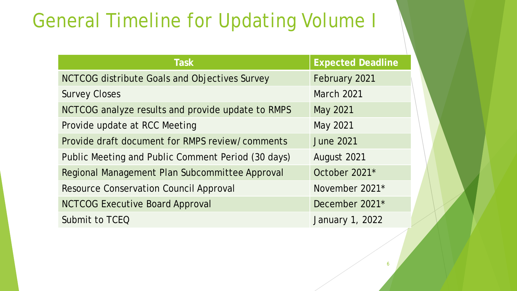### General Timeline for Updating Volume I

| <b>Task</b>                                        | <b>Expected Deadline</b> |
|----------------------------------------------------|--------------------------|
| NCTCOG distribute Goals and Objectives Survey      | February 2021            |
| <b>Survey Closes</b>                               | <b>March 2021</b>        |
| NCTCOG analyze results and provide update to RMPS  | May 2021                 |
| Provide update at RCC Meeting                      | May 2021                 |
| Provide draft document for RMPS review/comments    | <b>June 2021</b>         |
| Public Meeting and Public Comment Period (30 days) | August 2021              |
| Regional Management Plan Subcommittee Approval     | October 2021*            |
| <b>Resource Conservation Council Approval</b>      | November 2021*           |
| <b>NCTCOG Executive Board Approval</b>             | December 2021*           |
| Submit to TCEQ                                     | January 1, 2022          |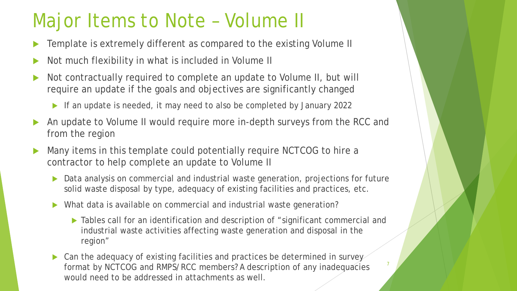### Major Items to Note – Volume II

- Template is extremely different as compared to the existing Volume II
- Not much flexibility in what is included in Volume II
- Not contractually required to complete an update to Volume II, but will require an update if the goals and objectives are significantly changed
	- If an update is needed, it may need to also be completed by January 2022
- An update to Volume II would require more in-depth surveys from the RCC and from the region
- Many items in this template could potentially require NCTCOG to hire a contractor to help complete an update to Volume II
	- Data analysis on commercial and industrial waste generation, projections for future solid waste disposal by type, adequacy of existing facilities and practices, etc.
	- What data is available on commercial and industrial waste generation?
		- ▶ Tables call for an identification and description of "significant commercial and industrial waste activities affecting waste generation and disposal in the region"

7

▶ Can the adequacy of existing facilities and practices be determined in survey format by NCTCOG and RMPS/RCC members? A description of any inadequacies would need to be addressed in attachments as well.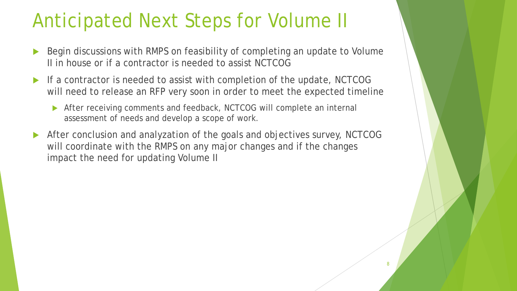#### Anticipated Next Steps for Volume II

- Begin discussions with RMPS on feasibility of completing an update to Volume II in house or if a contractor is needed to assist NCTCOG
- If a contractor is needed to assist with completion of the update, NCTCOG will need to release an RFP very soon in order to meet the expected timeline
	- After receiving comments and feedback, NCTCOG will complete an internal assessment of needs and develop a scope of work.
- After conclusion and analyzation of the goals and objectives survey, NCTCOG will coordinate with the RMPS on any major changes and if the changes impact the need for updating Volume II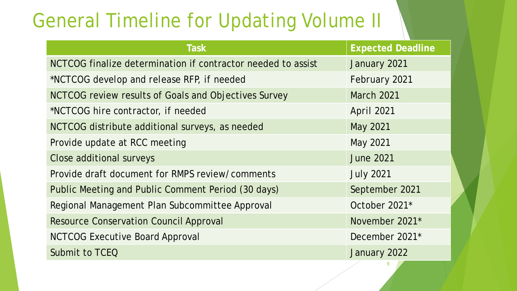#### General Timeline for Updating Volume II

| <b>Task</b>                                                  | <b>Expected Deadline</b> |
|--------------------------------------------------------------|--------------------------|
| NCTCOG finalize determination if contractor needed to assist | January 2021             |
| *NCTCOG develop and release RFP, if needed                   | February 2021            |
| NCTCOG review results of Goals and Objectives Survey         | <b>March 2021</b>        |
| *NCTCOG hire contractor, if needed                           | <b>April 2021</b>        |
| NCTCOG distribute additional surveys, as needed              | May 2021                 |
| Provide update at RCC meeting                                | May 2021                 |
| Close additional surveys                                     | <b>June 2021</b>         |
| Provide draft document for RMPS review/comments              | <b>July 2021</b>         |
| Public Meeting and Public Comment Period (30 days)           | September 2021           |
| Regional Management Plan Subcommittee Approval               | October 2021*            |
| <b>Resource Conservation Council Approval</b>                | November 2021*           |
| <b>NCTCOG Executive Board Approval</b>                       | December 2021*           |
| Submit to TCEQ                                               | January 2022             |
|                                                              | 9                        |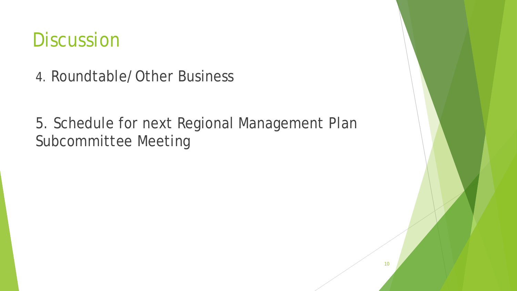#### **Discussion**

4. Roundtable/Other Business

5. Schedule for next Regional Management Plan Subcommittee Meeting